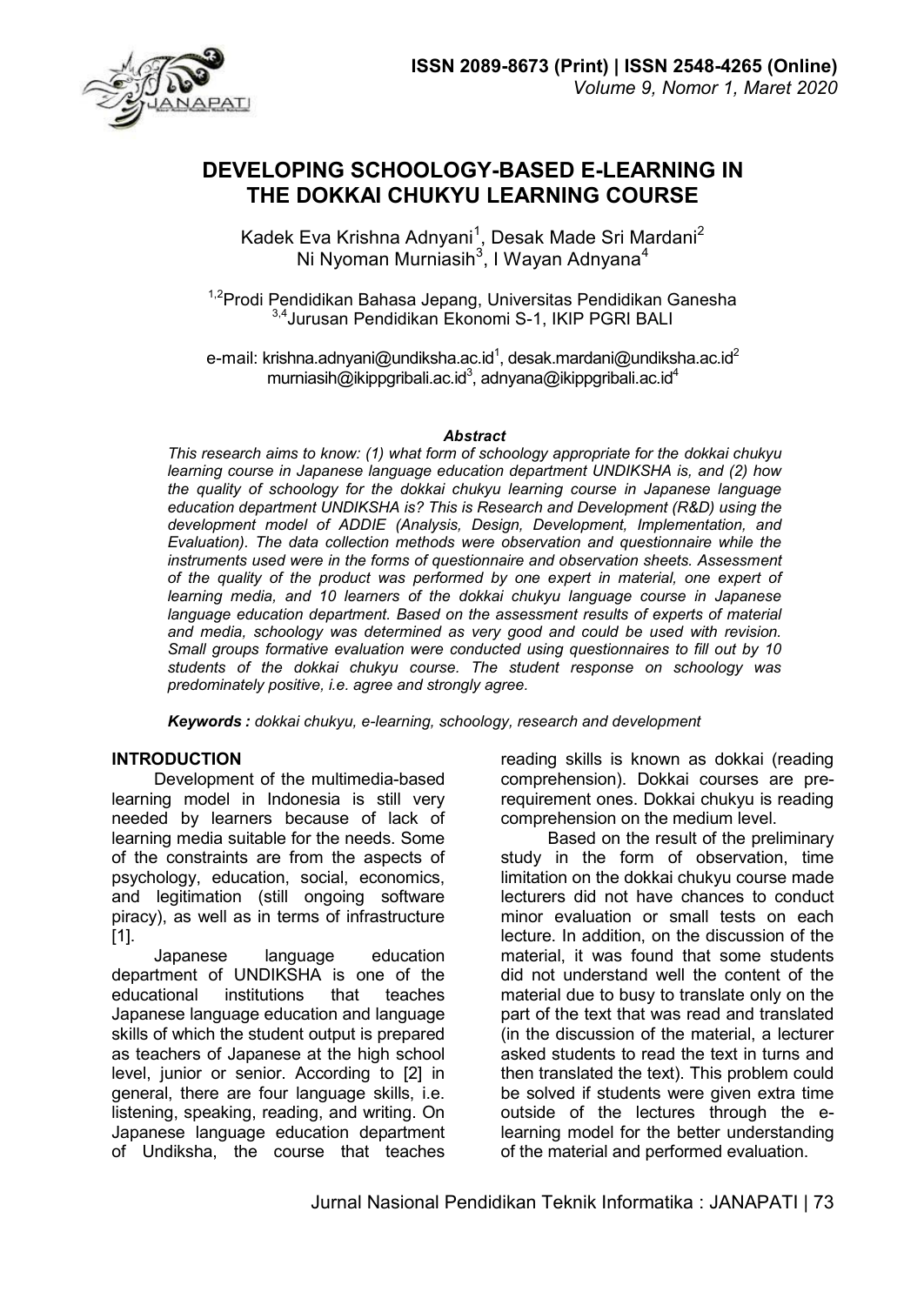



# **DEVELOPING SCHOOLOGY-BASED E-LEARNING IN THE DOKKAI CHUKYU LEARNING COURSE**

Kadek Eva Krishna Adnyani $^1\!$ , Desak Made Sri Mardani $^2$ Ni Nyoman Murniasih $^3$ , I Wayan Adnyana $^4$ 

<sup>1,2</sup>Prodi Pendidikan Bahasa Jepang, Universitas Pendidikan Ganesha 3,4Jurusan Pendidikan Ekonomi S-1, IKIP PGRI BALI

e-mail: krishna.adnyani@undiksha.ac.id $^{\text{1}}$ , desak.mardani@undiksha.ac.id $^{\text{2}}$ murniasih@ikippgribali.ac.id $^3$ , adnyana@ikippgribali.ac.id $^4$ 

#### *Abstract*

*This research aims to know: (1) what form of schoology appropriate for the dokkai chukyu learning course in Japanese language education department UNDIKSHA is, and (2) how the quality of schoology for the dokkai chukyu learning course in Japanese language education department UNDIKSHA is? This is Research and Development (R&D) using the development model of ADDIE (Analysis, Design, Development, Implementation, and Evaluation). The data collection methods were observation and questionnaire while the instruments used were in the forms of questionnaire and observation sheets. Assessment of the quality of the product was performed by one expert in material, one expert of learning media, and 10 learners of the dokkai chukyu language course in Japanese*  language education department. Based on the assessment results of experts of material *and media, schoology was determined as very good and could be used with revision. Small groups formative evaluation were conducted using questionnaires to fill out by 10 students of the dokkai chukyu course. The student response on schoology was predominately positive, i.e. agree and strongly agree.* 

*Keywords : dokkai chukyu, e-learning, schoology, research and development* 

#### **INTRODUCTION**

Development of the multimedia-based learning model in Indonesia is still very needed by learners because of lack of learning media suitable for the needs. Some of the constraints are from the aspects of psychology, education, social, economics, and legitimation (still ongoing software piracy), as well as in terms of infrastructure [1].

Japanese language education department of UNDIKSHA is one of the educational institutions that teaches Japanese language education and language skills of which the student output is prepared as teachers of Japanese at the high school level, junior or senior. According to [2] in general, there are four language skills, i.e. listening, speaking, reading, and writing. On Japanese language education department of Undiksha, the course that teaches

reading skills is known as dokkai (reading comprehension). Dokkai courses are prerequirement ones. Dokkai chukyu is reading comprehension on the medium level.

 Based on the result of the preliminary study in the form of observation, time limitation on the dokkai chukyu course made lecturers did not have chances to conduct minor evaluation or small tests on each lecture. In addition, on the discussion of the material, it was found that some students did not understand well the content of the material due to busy to translate only on the part of the text that was read and translated (in the discussion of the material, a lecturer asked students to read the text in turns and then translated the text). This problem could be solved if students were given extra time outside of the lectures through the elearning model for the better understanding of the material and performed evaluation.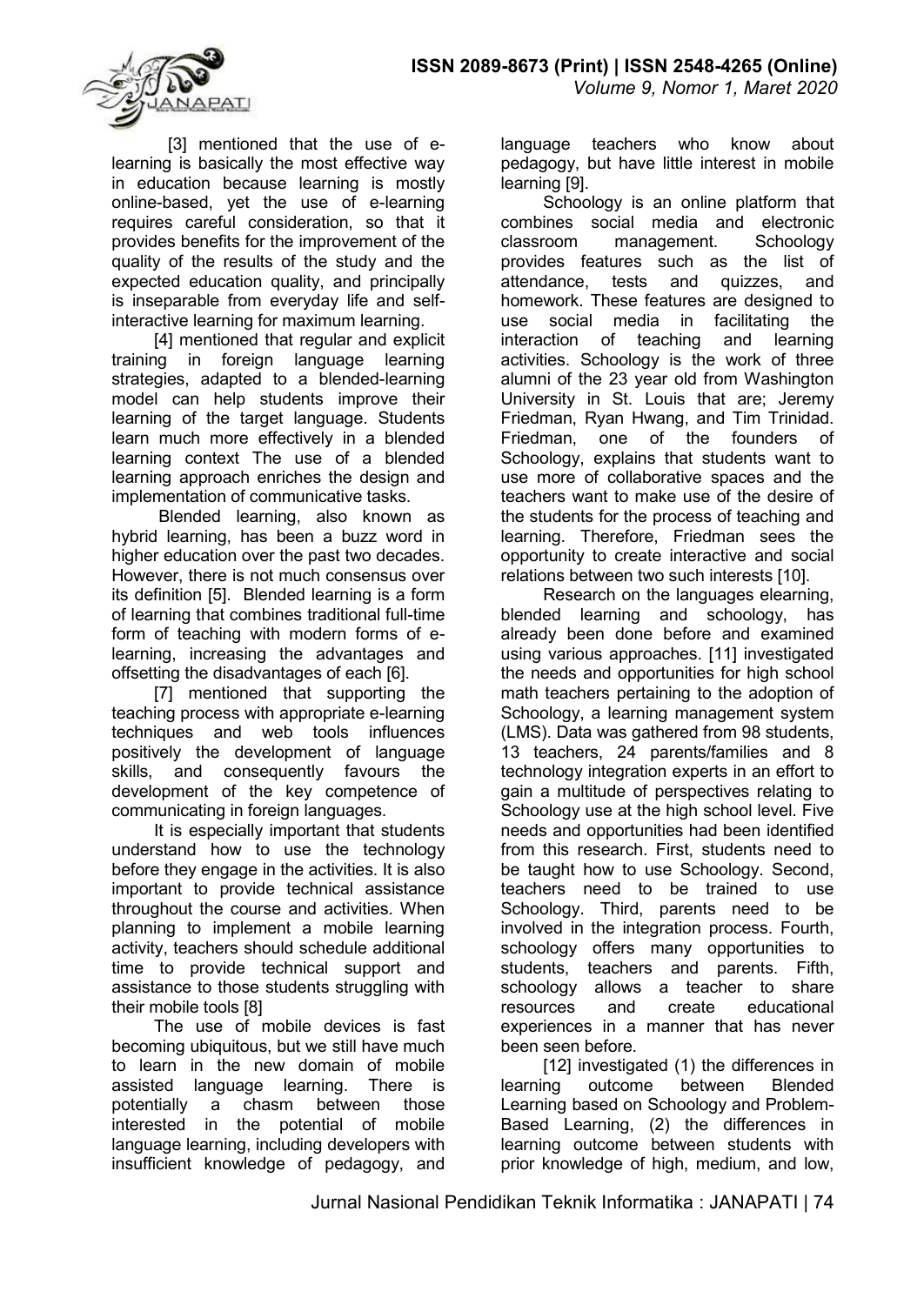

[3] mentioned that the use of elearning is basically the most effective way in education because learning is mostly online-based, yet the use of e-learning requires careful consideration, so that it provides benefits for the improvement of the quality of the results of the study and the expected education quality, and principally is inseparable from everyday life and selfinteractive learning for maximum learning.

[4] mentioned that regular and explicit training in foreign language learning strategies, adapted to a blended-learning model can help students improve their learning of the target language. Students learn much more effectively in a blended learning context The use of a blended learning approach enriches the design and implementation of communicative tasks.

 Blended learning, also known as hybrid learning, has been a buzz word in higher education over the past two decades. However, there is not much consensus over its definition [5]. Blended learning is a form of learning that combines traditional full-time form of teaching with modern forms of elearning, increasing the advantages and offsetting the disadvantages of each [6].

[7] mentioned that supporting the teaching process with appropriate e-learning techniques and web tools influences positively the development of language skills, and consequently favours the development of the key competence of communicating in foreign languages.

It is especially important that students understand how to use the technology before they engage in the activities. It is also important to provide technical assistance throughout the course and activities. When planning to implement a mobile learning activity, teachers should schedule additional time to provide technical support and assistance to those students struggling with their mobile tools [8]

The use of mobile devices is fast becoming ubiquitous, but we still have much to learn in the new domain of mobile assisted language learning. There is potentially a chasm between those interested in the potential of mobile language learning, including developers with insufficient knowledge of pedagogy, and

language teachers who know about pedagogy, but have little interest in mobile learning [9].

Schoology is an online platform that combines social media and electronic classroom management. provides features such as the list of attendance, tests and quizzes, and homework. These features are designed to use social media in facilitating the interaction of teaching and learning activities. Schoology is the work of three alumni of the 23 year old from Washington University in St. Louis that are; Jeremy Friedman, Ryan Hwang, and Tim Trinidad. Friedman, one of the founders of Schoology, explains that students want to use more of collaborative spaces and the teachers want to make use of the desire of the students for the process of teaching and learning. Therefore, Friedman sees the opportunity to create interactive and social relations between two such interests [10].

Research on the languages elearning, blended learning and schoology, has already been done before and examined using various approaches. [11] investigated the needs and opportunities for high school math teachers pertaining to the adoption of Schoology, a learning management system (LMS). Data was gathered from 98 students, 13 teachers, 24 parents/families and 8 technology integration experts in an effort to gain a multitude of perspectives relating to Schoology use at the high school level. Five needs and opportunities had been identified from this research. First, students need to be taught how to use Schoology. Second, teachers need to be trained to use Schoology. Third, parents need to be involved in the integration process. Fourth, schoology offers many opportunities to students, teachers and parents. Fifth, schoology allows a teacher to share resources and create educational experiences in a manner that has never been seen before.

[12] investigated (1) the differences in learning outcome between Blended Learning based on Schoology and Problem-Based Learning, (2) the differences in learning outcome between students with prior knowledge of high, medium, and low,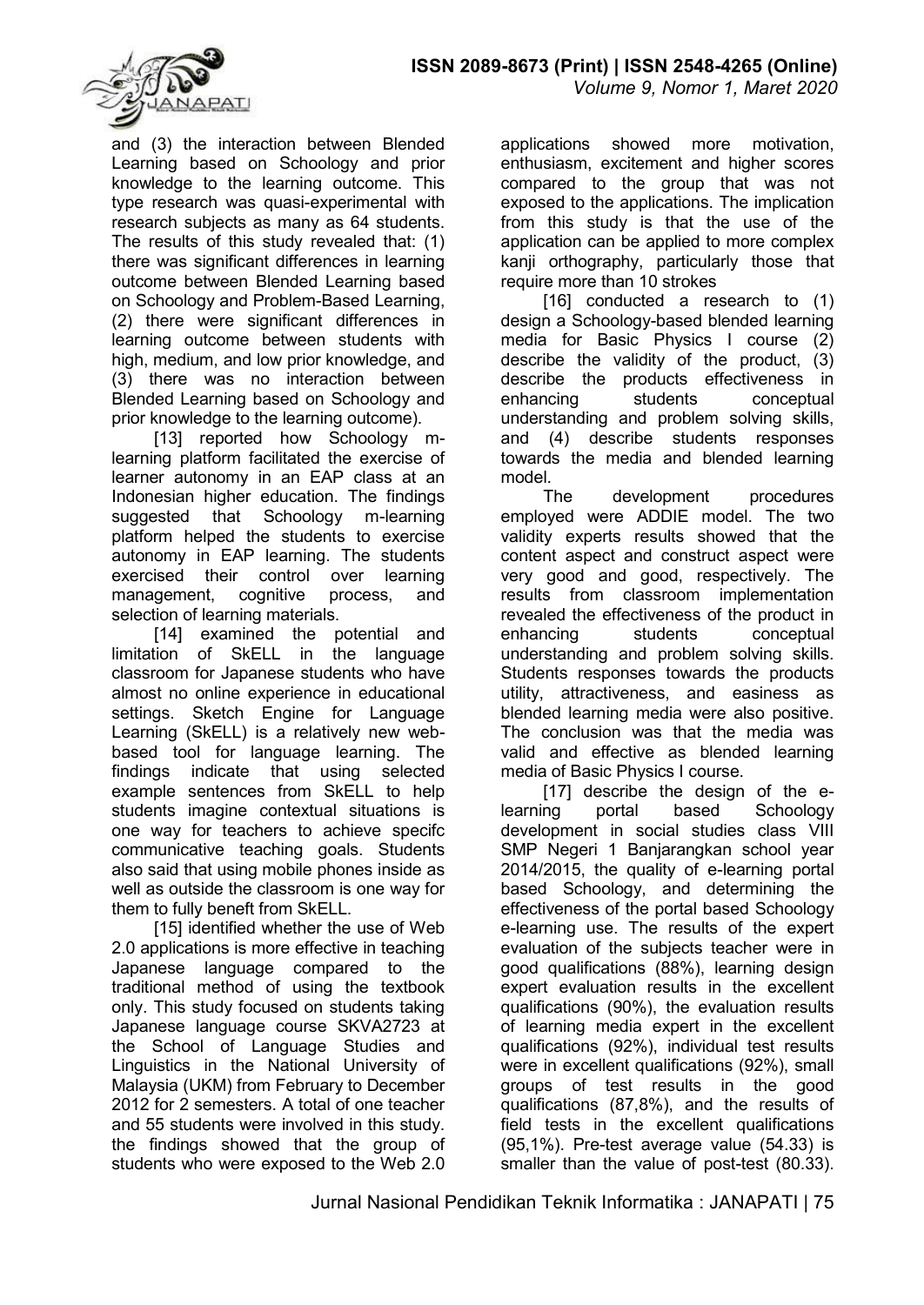

and (3) the interaction between Blended Learning based on Schoology and prior knowledge to the learning outcome. This type research was quasi-experimental with research subjects as many as 64 students. The results of this study revealed that: (1) there was significant differences in learning outcome between Blended Learning based on Schoology and Problem-Based Learning, (2) there were significant differences in learning outcome between students with high, medium, and low prior knowledge, and (3) there was no interaction between Blended Learning based on Schoology and prior knowledge to the learning outcome).

[13] reported how Schoology mlearning platform facilitated the exercise of learner autonomy in an EAP class at an Indonesian higher education. The findings suggested that Schoology m-learning platform helped the students to exercise autonomy in EAP learning. The students exercised their control over learning management, cognitive process, and selection of learning materials.

[14] examined the potential and limitation of SkELL in the language classroom for Japanese students who have almost no online experience in educational settings. Sketch Engine for Language Learning (SkELL) is a relatively new webbased tool for language learning. The findings indicate that using selected example sentences from SkELL to help students imagine contextual situations is one way for teachers to achieve specifc communicative teaching goals. Students also said that using mobile phones inside as well as outside the classroom is one way for them to fully beneft from SkELL.

[15] identified whether the use of Web 2.0 applications is more effective in teaching Japanese language compared to the traditional method of using the textbook only. This study focused on students taking Japanese language course SKVA2723 at the School of Language Studies and Linguistics in the National University of Malaysia (UKM) from February to December 2012 for 2 semesters. A total of one teacher and 55 students were involved in this study. the findings showed that the group of students who were exposed to the Web 2.0

applications showed more motivation, enthusiasm, excitement and higher scores compared to the group that was not exposed to the applications. The implication from this study is that the use of the application can be applied to more complex kanji orthography, particularly those that require more than 10 strokes

[16] conducted a research to (1) design a Schoology-based blended learning media for Basic Physics I course (2) describe the validity of the product, (3) describe the products effectiveness in enhancing students conceptual understanding and problem solving skills, and (4) describe students responses towards the media and blended learning model.

The development procedures employed were ADDIE model. The two validity experts results showed that the content aspect and construct aspect were very good and good, respectively. The results from classroom implementation revealed the effectiveness of the product in enhancing students conceptual understanding and problem solving skills. Students responses towards the products utility, attractiveness, and easiness as blended learning media were also positive. The conclusion was that the media was valid and effective as blended learning media of Basic Physics I course.

[17] describe the design of the elearning portal based Schoology development in social studies class VIII SMP Negeri 1 Banjarangkan school year 2014/2015, the quality of e-learning portal based Schoology, and determining the effectiveness of the portal based Schoology e-learning use. The results of the expert evaluation of the subjects teacher were in good qualifications (88%), learning design expert evaluation results in the excellent qualifications (90%), the evaluation results of learning media expert in the excellent qualifications (92%), individual test results were in excellent qualifications (92%), small groups of test results in the good qualifications (87,8%), and the results of field tests in the excellent qualifications (95,1%). Pre-test average value (54.33) is smaller than the value of post-test (80.33).

Jurnal Nasional Pendidikan Teknik Informatika : JANAPATI | 75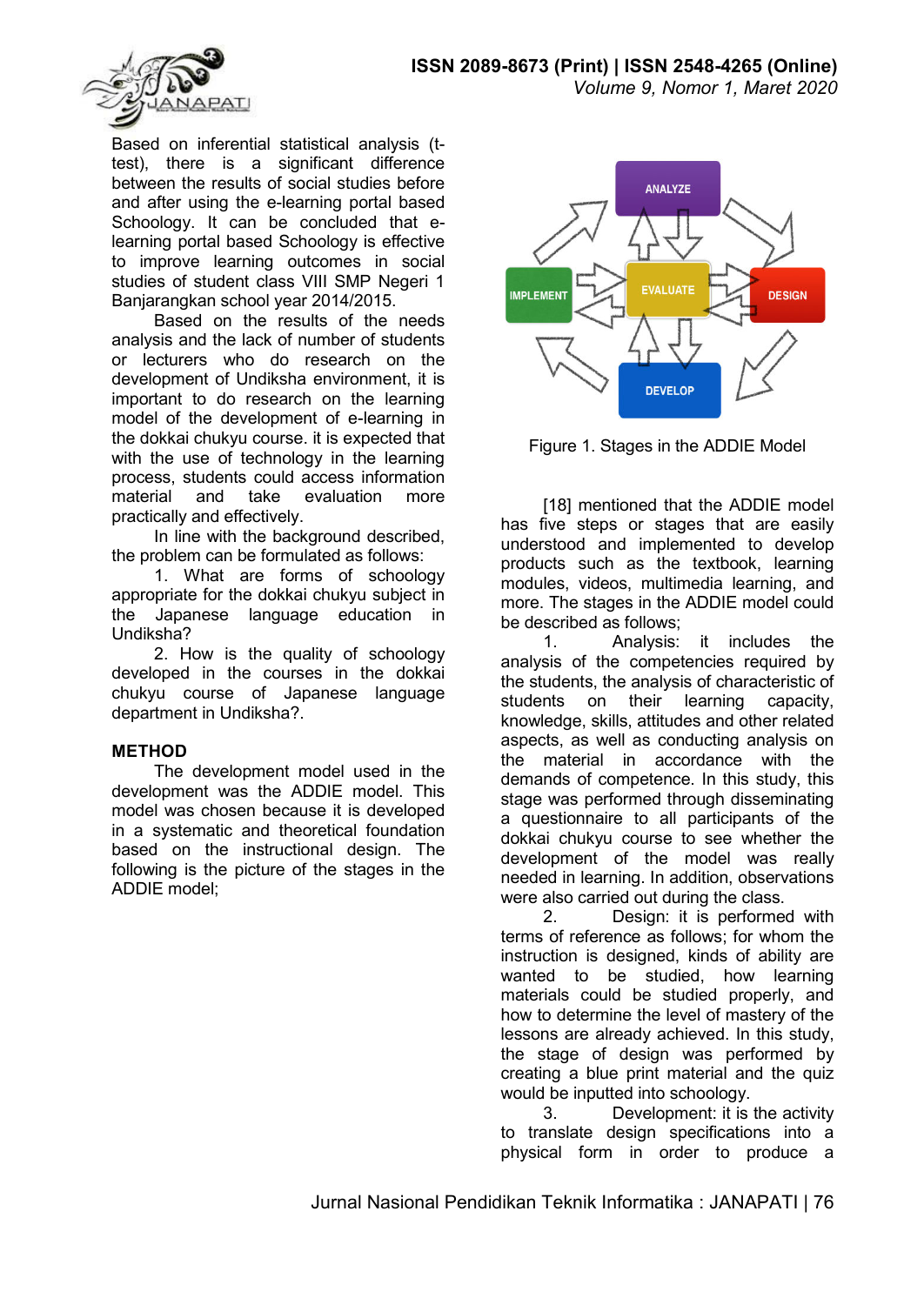

Based on inferential statistical analysis (ttest), there is a significant difference between the results of social studies before and after using the e-learning portal based Schoology. It can be concluded that elearning portal based Schoology is effective to improve learning outcomes in social studies of student class VIII SMP Negeri 1 Banjarangkan school year 2014/2015.

Based on the results of the needs analysis and the lack of number of students or lecturers who do research on the development of Undiksha environment, it is important to do research on the learning model of the development of e-learning in the dokkai chukyu course. it is expected that with the use of technology in the learning process, students could access information material and take evaluation more practically and effectively.

In line with the background described. the problem can be formulated as follows:

1. What are forms of schoology appropriate for the dokkai chukyu subject in the Japanese language education in Undiksha?

2. How is the quality of schoology developed in the courses in the dokkai chukyu course of Japanese language department in Undiksha?.

## **METHOD**

The development model used in the development was the ADDIE model. This model was chosen because it is developed in a systematic and theoretical foundation based on the instructional design. The following is the picture of the stages in the ADDIE model;



Figure 1. Stages in the ADDIE Model

[18] mentioned that the ADDIE model has five steps or stages that are easily understood and implemented to develop products such as the textbook, learning modules, videos, multimedia learning, and more. The stages in the ADDIE model could be described as follows;

1. Analysis: it includes the analysis of the competencies required by the students, the analysis of characteristic of students on their learning capacity, knowledge, skills, attitudes and other related aspects, as well as conducting analysis on the material in accordance with the demands of competence. In this study, this stage was performed through disseminating a questionnaire to all participants of the dokkai chukyu course to see whether the development of the model was really needed in learning. In addition, observations were also carried out during the class.

2. Design: it is performed with terms of reference as follows; for whom the instruction is designed, kinds of ability are wanted to be studied, how learning materials could be studied properly, and how to determine the level of mastery of the lessons are already achieved. In this study, the stage of design was performed by creating a blue print material and the quiz would be inputted into schoology.

3. Development: it is the activity to translate design specifications into a physical form in order to produce a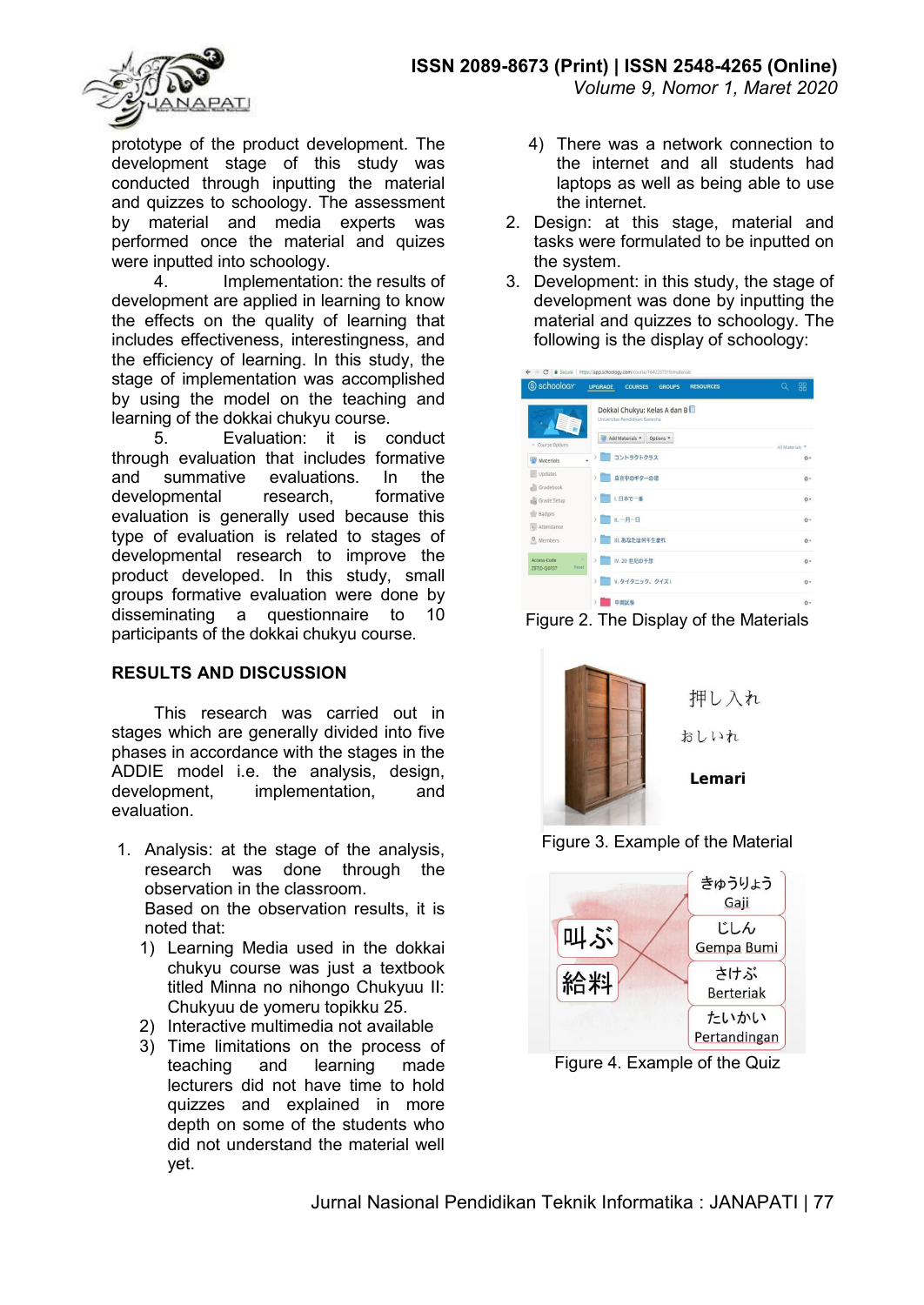

prototype of the product development. The development stage of this study was conducted through inputting the material and quizzes to schoology. The assessment by material and media experts was performed once the material and quizes were inputted into schoology.<br>4 Implementation

Implementation: the results of development are applied in learning to know the effects on the quality of learning that includes effectiveness, interestingness, and the efficiency of learning. In this study, the stage of implementation was accomplished by using the model on the teaching and learning of the dokkai chukyu course.

5. Evaluation: it is conduct through evaluation that includes formative and summative evaluations. In the developmental research, formative evaluation is generally used because this type of evaluation is related to stages of developmental research to improve the product developed. In this study, small groups formative evaluation were done by disseminating a questionnaire to 10 participants of the dokkai chukyu course.

### **RESULTS AND DISCUSSION**

This research was carried out in stages which are generally divided into five phases in accordance with the stages in the ADDIE model i.e. the analysis, design, development, implementation, and evaluation.

- 1. Analysis: at the stage of the analysis, research was done through the observation in the classroom. Based on the observation results, it is noted that:
	- 1) Learning Media used in the dokkai chukyu course was just a textbook titled Minna no nihongo Chukyuu II: Chukyuu de yomeru topikku 25.
	- 2) Interactive multimedia not available
	- 3) Time limitations on the process of teaching and learning made lecturers did not have time to hold quizzes and explained in more depth on some of the students who did not understand the material well yet.
- 4) There was a network connection to the internet and all students had laptops as well as being able to use the internet.
- 2. Design: at this stage, material and tasks were formulated to be inputted on the system.
- 3. Development: in this study, the stage of development was done by inputting the material and quizzes to schoology. The following is the display of schoology:

| S schoology                                | <b>UPGRADE</b><br><b>RESOURCES</b><br><b>COURSES</b><br><b>GROUPS</b> | 88<br>Q         |
|--------------------------------------------|-----------------------------------------------------------------------|-----------------|
|                                            | Dokkai Chukyu: Kelas A dan B<br>Universitas Pendidikan Ganesha        |                 |
| - Course Options                           | Add Materials<br>Options *                                            | All Materials * |
| U)<br>Materials                            | > コントラクトクラス                                                           | **              |
| Updates<br>Gradebook                       | 直夜中のギターの歌<br>$\rightarrow$                                            | ☆→              |
| Grade Setup<br>sik                         | ■ 1.日本で一番<br>X.                                                       | ·               |
| Badges<br>a. Attendance                    | II. 一月一日<br>$\mathcal{P}$                                             | ·               |
| Members                                    | Ⅲ. あなたは何年生まれ<br>y.                                                    | Ö*              |
| <b>Access Code</b><br>Reset<br>Z87JD-Q6R37 | ×<br>IV. 20 世紀の予想<br>$\mathcal{F}$<br>٣                               | ☆▼              |
|                                            | V. タイタニック、クイズ1<br>×                                                   | Ö™              |
|                                            | 中間試験<br>y.                                                            | 春。              |

Figure 2. The Display of the Materials







Figure 4. Example of the Quiz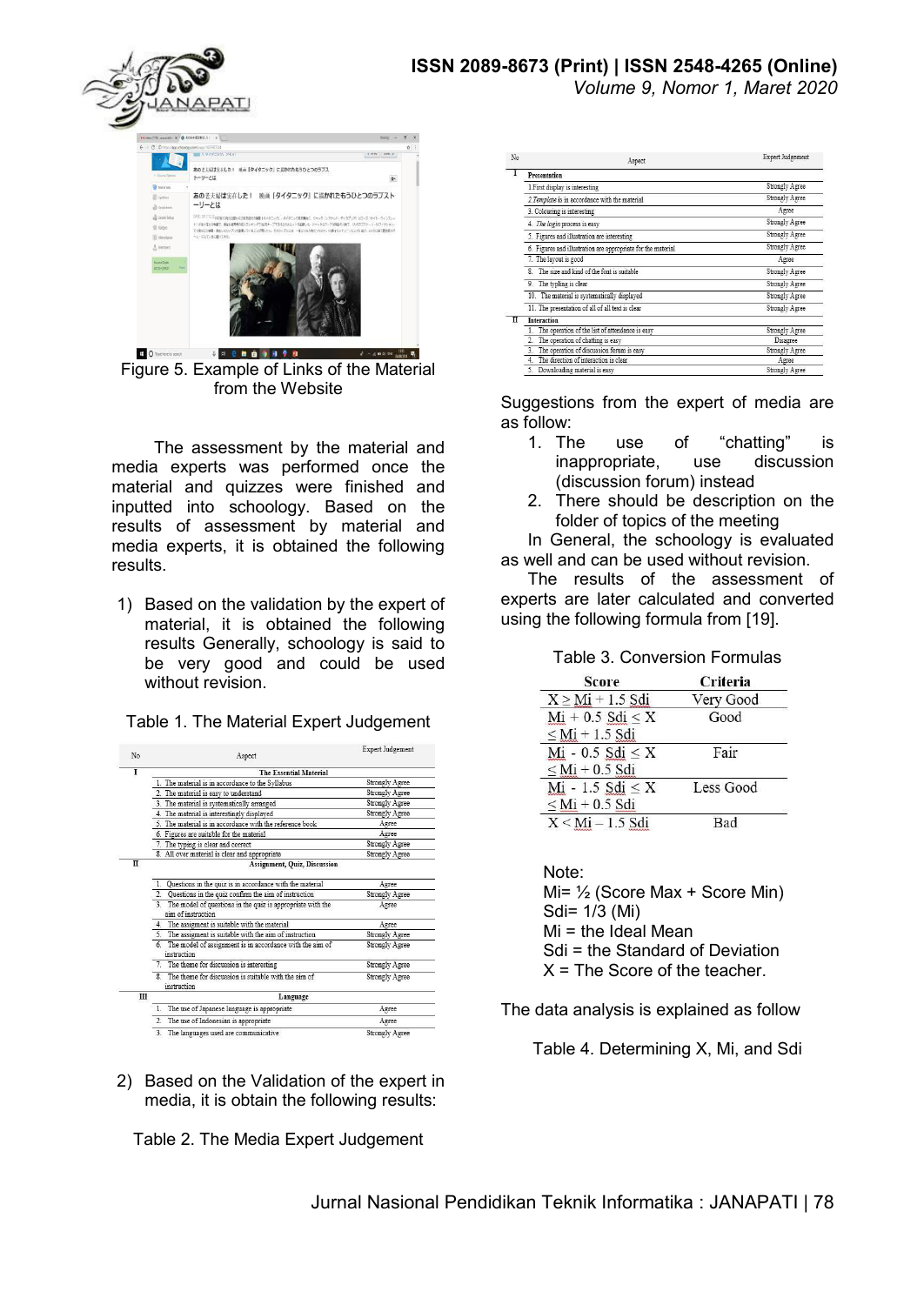# **ISSN 2089-8673 (Print) | ISSN 2548-4265 (Online)**

*Volume 9, Nomor 1, Maret 2020* 



Figure 5. Example of Links of the Material from the Website

The assessment by the material and media experts was performed once the material and quizzes were finished and inputted into schoology. Based on the results of assessment by material and media experts, it is obtained the following results.

1) Based on the validation by the expert of material, it is obtained the following results Generally, schoology is said to be very good and could be used without revision.

| No | Aspect                                                                                 | Expert Judgement      |  |
|----|----------------------------------------------------------------------------------------|-----------------------|--|
| I  | <b>The Essential Material</b>                                                          |                       |  |
|    | 1. The material is in accordance to the Syllabus                                       | <b>Strongly Agree</b> |  |
|    | 2. The material is easy to understand                                                  | <b>Strongly Agree</b> |  |
|    | 3. The material is systematically arranged                                             | Strongly Agree        |  |
|    | 4. The material is interestingly displayed                                             | <b>Strongly Agree</b> |  |
|    | 5. The material is in accordance with the reference book                               | Agree                 |  |
|    | 6. Figures are suitable for the material                                               | Agree                 |  |
|    | 7. The typing is clear and correct                                                     | Strongly Agree        |  |
|    | 8. All over material is clear and appropriate                                          | <b>Strongly Agree</b> |  |
| п  | Assignment, Quiz, Discussion                                                           |                       |  |
|    | Questions in the quiz is in accordance with the material<br>1.                         | Agree                 |  |
|    | Questions in the quiz confirm the aim of instruction<br>$\overline{2}$ .               | <b>Strongly Agree</b> |  |
|    | The model of questions in the quiz is appropriate with the<br>3.<br>aim of instruction | Agree                 |  |
|    | The assigment is suitable with the material<br>4.                                      | Agree                 |  |
|    | 5. The assigment is suitable with the aim of instruction                               | Strongly Agree        |  |
|    | The model of assignment is in accordance with the aim of<br>6.<br>instruction          | <b>Strongly Agree</b> |  |
|    | 7. The theme for discussion is interesting                                             | <b>Strongly Agree</b> |  |
|    | The theme for discussion is suitable with the aim of<br>8.<br>instruction              | <b>Strongly Agree</b> |  |
| Ш  | Language                                                                               |                       |  |
|    | The use of Japanese language is appropriate<br>1.                                      | Agree                 |  |
|    | $\overline{2}$<br>The use of Indonesian is appropriate                                 | Agree                 |  |
|    | $\overline{3}$ .<br>The languages used are communicative                               | <b>Strongly Agree</b> |  |

Table 1. The Material Expert Judgement

2) Based on the Validation of the expert in media, it is obtain the following results:

Table 2. The Media Expert Judgement

| No | Aspect                                                       | <b>Expert Judgement</b> |
|----|--------------------------------------------------------------|-------------------------|
|    | Presentation                                                 |                         |
|    | 1.First display is interesting                               | Strongly Agree          |
|    | 2. Template is in accordance with the material               | Strongly Agree          |
|    | 3. Colouring is interesting                                  | Agree                   |
|    | 4. The login process is easy                                 | Strongly Agree          |
|    | 5. Figures and illustration are interesting                  | Strongly Agree          |
|    | 6. Figures and illustration are appropriate for the material | Strongly Agree          |
|    | 7. The layout is good                                        | Agree                   |
|    | The size and kind of the font is suitable<br>R.              | Strongly Agree          |
|    | 9. The typling is clear                                      | Strongly Agree          |
|    | 10. The material is systematically displayed                 | Strongly Agree          |
|    | 11. The presentation of all of all text is clear             | Strongly Agree          |
| π  | <b>Interaction</b>                                           |                         |
|    | The operation of the list of attendance is easy              | Strongly Agree          |
|    | The operation of chatting is easy<br>2.                      | Disagree                |
|    | 3. The operation of discussion forum is easy                 | Strongly Agree          |
|    | The direction of interaction is clear<br>4                   | Agree                   |
|    | 5.<br>Downloading material is easy                           | Strongly Agree          |

Suggestions from the expert of media are as follow:

- 1. The use of "chatting" is inappropriate, use discussion (discussion forum) instead
- 2. There should be description on the folder of topics of the meeting

In General, the schoology is evaluated as well and can be used without revision.

The results of the assessment of experts are later calculated and converted using the following formula from [19].

| <b>Table 3. Conversion Formulas</b> |  |  |
|-------------------------------------|--|--|
|                                     |  |  |

| <b>Score</b>            | Criteria  |
|-------------------------|-----------|
| $X \geq Mi + 1.5$ Sdi   | Very Good |
| $Mi + 0.5$ $Sdi \leq X$ | Good      |
| $\leq$ Mi + 1.5 Sdi     |           |
| Mi - 0.5 Sdi $\leq$ X   | Fair      |
| $\leq$ Mi + 0.5 Sdi     |           |
| Mi - 1.5 Sdi $\leq$ X   | Less Good |
| $\leq$ Mi + 0.5 Sdi     |           |
| $X < Mi - 1.5$ Sdi      | Bad       |

Note: Mi= ½ (Score Max + Score Min) Sdi= 1/3 (Mi)  $Mi$  = the Ideal Mean Sdi = the Standard of Deviation  $X =$  The Score of the teacher.

The data analysis is explained as follow

Table 4. Determining X, Mi, and Sdi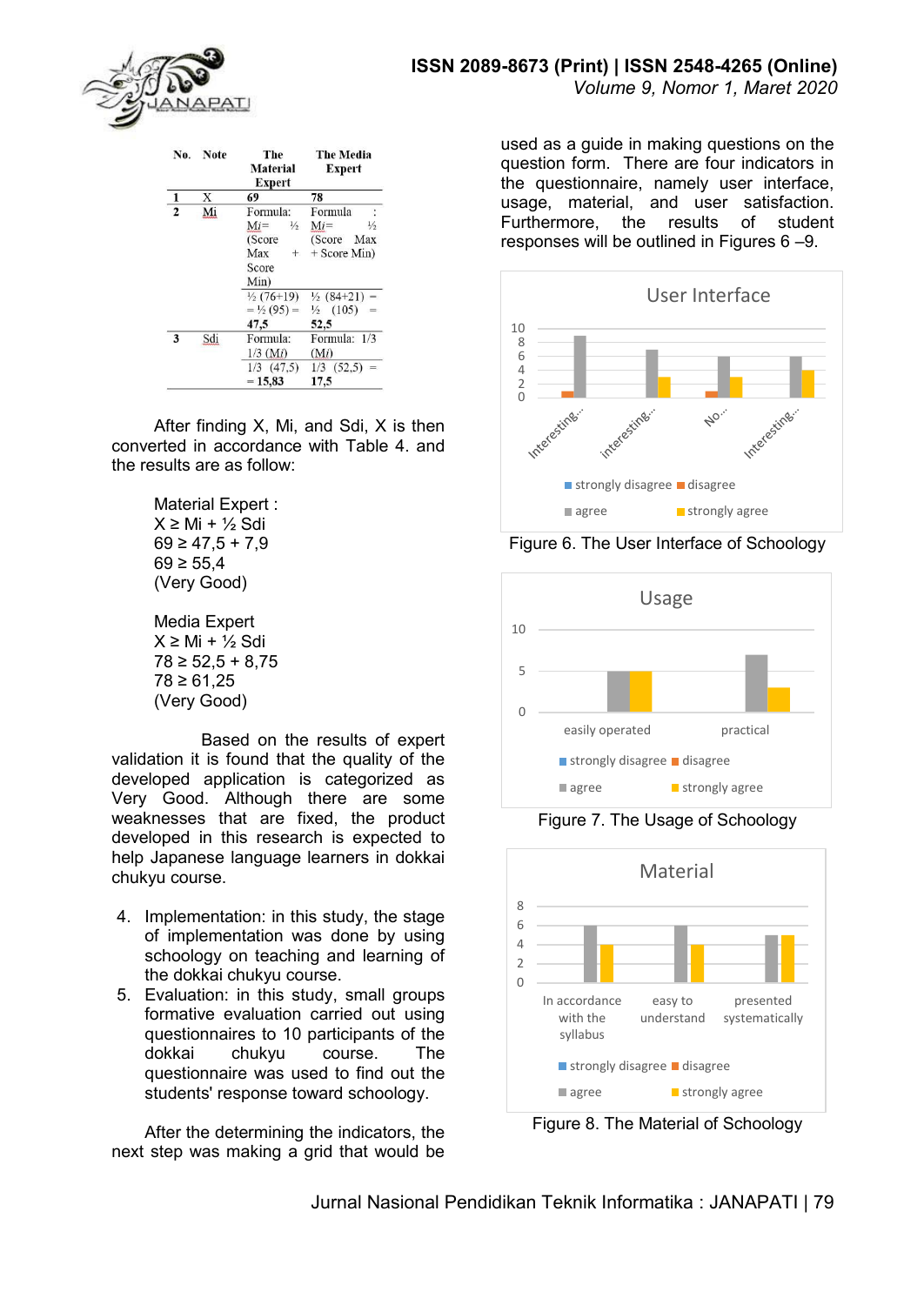

| No.            | <b>Note</b> | The<br><b>Material</b><br><b>Expert</b>                              | <b>The Media</b><br><b>Expert</b>                                      |
|----------------|-------------|----------------------------------------------------------------------|------------------------------------------------------------------------|
| 1              | X           | 69                                                                   | 78                                                                     |
| $\overline{2}$ | Mi          | Formula:<br>$Mi =$<br>$\frac{1}{2}$<br>(Score<br>Max<br>$+$<br>Score | Formula<br>$Mi =$<br>$\frac{1}{2}$<br>(Score)<br>Max<br>$+$ Score Min) |
|                |             | Min)<br>$\frac{1}{2}$ (76+19)<br>$=$ 1/2 (95) =<br>47,5              | $\frac{1}{2}$ (84+21) =<br>$\frac{1}{2}$ (105)<br>52,5                 |
| 3              | Sdi         | Formula:<br>$1/3$ (Mi)<br>$1/3$ $(47.5)$                             | Formula: 1/3<br>(Mi)<br>$1/3$ $(52,5)$<br>$=$                          |
|                |             | $= 15,83$                                                            | 17,5                                                                   |

After finding X, Mi, and Sdi, X is then converted in accordance with Table 4. and the results are as follow:

> Material Expert :  $X \geq M_i + \frac{1}{2} S_i$ di  $69 \ge 47.5 + 7.9$  $69 \ge 55,4$ (Very Good)

> Media Expert  $X \geq M_i + \frac{1}{2} S_i$ di  $78 \ge 52.5 + 8.75$  $78 \ge 61,25$ (Very Good)

 Based on the results of expert validation it is found that the quality of the developed application is categorized as Very Good. Although there are some weaknesses that are fixed, the product developed in this research is expected to help Japanese language learners in dokkai chukyu course.

- 4. Implementation: in this study, the stage of implementation was done by using schoology on teaching and learning of the dokkai chukyu course.
- 5. Evaluation: in this study, small groups formative evaluation carried out using questionnaires to 10 participants of the dokkai chukyu course. The questionnaire was used to find out the students' response toward schoology.

After the determining the indicators, the next step was making a grid that would be used as a guide in making questions on the question form. There are four indicators in the questionnaire, namely user interface, usage, material, and user satisfaction. Furthermore, the results of student responses will be outlined in Figures 6 –9.



Figure 6. The User Interface of Schoology



Figure 7. The Usage of Schoology



Figure 8. The Material of Schoology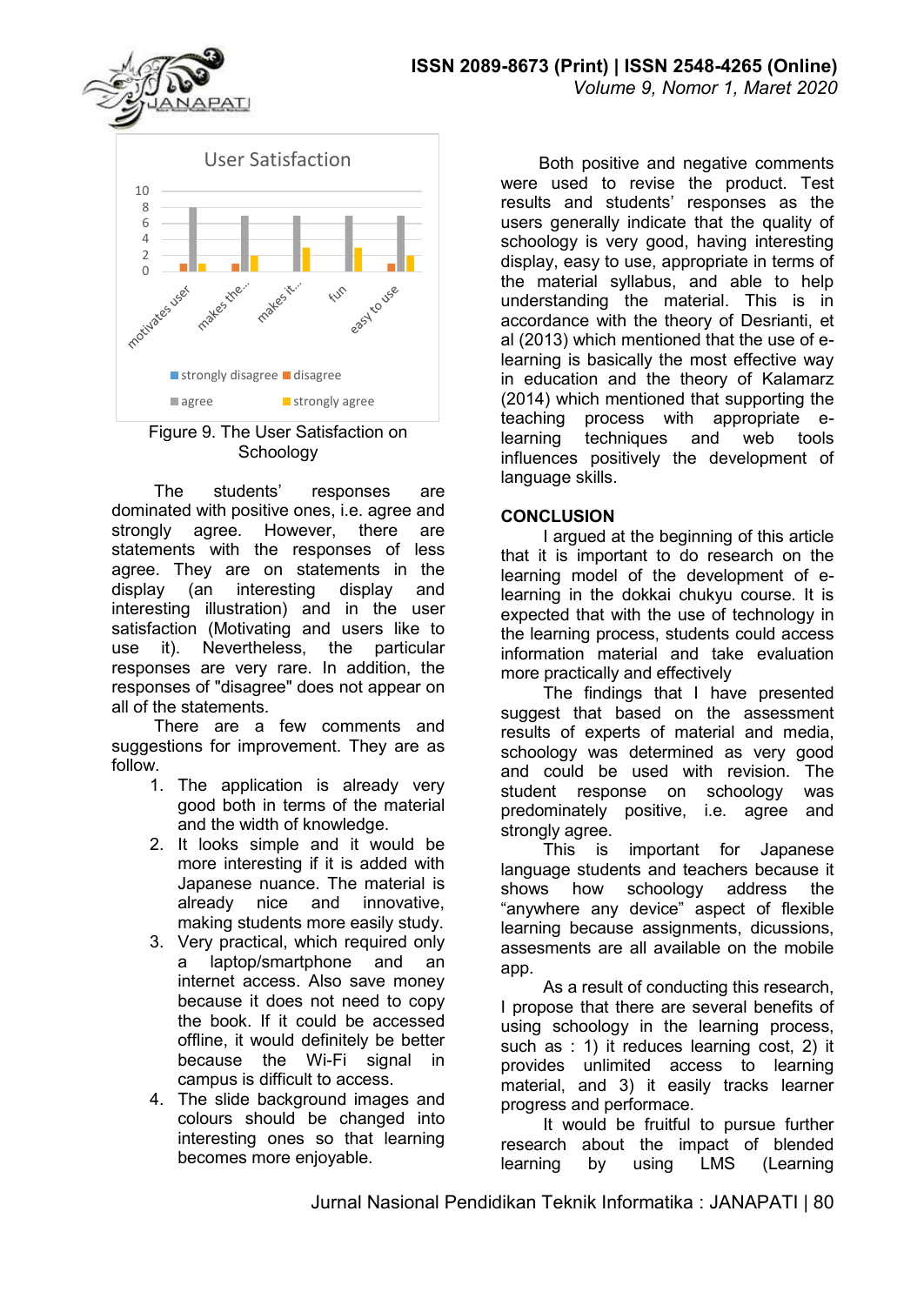User Satisfaction 10 8 6 4  $\overline{2}$ motivates uses makes the ... mates it. easy rouse FUF  $\blacksquare$ strongly disagree  $\blacksquare$  disagree  $\Box$  agree  $\Box$  strongly agree

Figure 9. The User Satisfaction on Schoology

The students' responses are dominated with positive ones, i.e. agree and strongly agree. However, there are statements with the responses of less agree. They are on statements in the display (an interesting display and interesting illustration) and in the user satisfaction (Motivating and users like to use it). Nevertheless, the particular responses are very rare. In addition, the responses of "disagree" does not appear on all of the statements.

There are a few comments and suggestions for improvement. They are as follow.

- 1. The application is already very good both in terms of the material and the width of knowledge.
- 2. It looks simple and it would be more interesting if it is added with Japanese nuance. The material is already nice and innovative, making students more easily study.
- 3. Very practical, which required only a laptop/smartphone and an internet access. Also save money because it does not need to copy the book. If it could be accessed offline, it would definitely be better because the Wi-Fi signal in campus is difficult to access.
- 4. The slide background images and colours should be changed into interesting ones so that learning becomes more enjoyable.

Both positive and negative comments were used to revise the product. Test results and students' responses as the users generally indicate that the quality of schoology is very good, having interesting display, easy to use, appropriate in terms of the material syllabus, and able to help understanding the material. This is in accordance with the theory of Desrianti, et al (2013) which mentioned that the use of elearning is basically the most effective way in education and the theory of Kalamarz (2014) which mentioned that supporting the teaching process with appropriate elearning techniques and web tools influences positively the development of language skills.

### **CONCLUSION**

I argued at the beginning of this article that it is important to do research on the learning model of the development of elearning in the dokkai chukyu course. It is expected that with the use of technology in the learning process, students could access information material and take evaluation more practically and effectively

The findings that I have presented suggest that based on the assessment results of experts of material and media, schoology was determined as very good and could be used with revision. The student response on schoology was predominately positive, i.e. agree and strongly agree.

This is important for Japanese language students and teachers because it shows how schoology address the "anywhere any device" aspect of flexible learning because assignments, dicussions, assesments are all available on the mobile app.

As a result of conducting this research, I propose that there are several benefits of using schoology in the learning process, such as : 1) it reduces learning cost, 2) it provides unlimited access to learning material, and 3) it easily tracks learner progress and performace.

It would be fruitful to pursue further research about the impact of blended learning by using LMS (Learning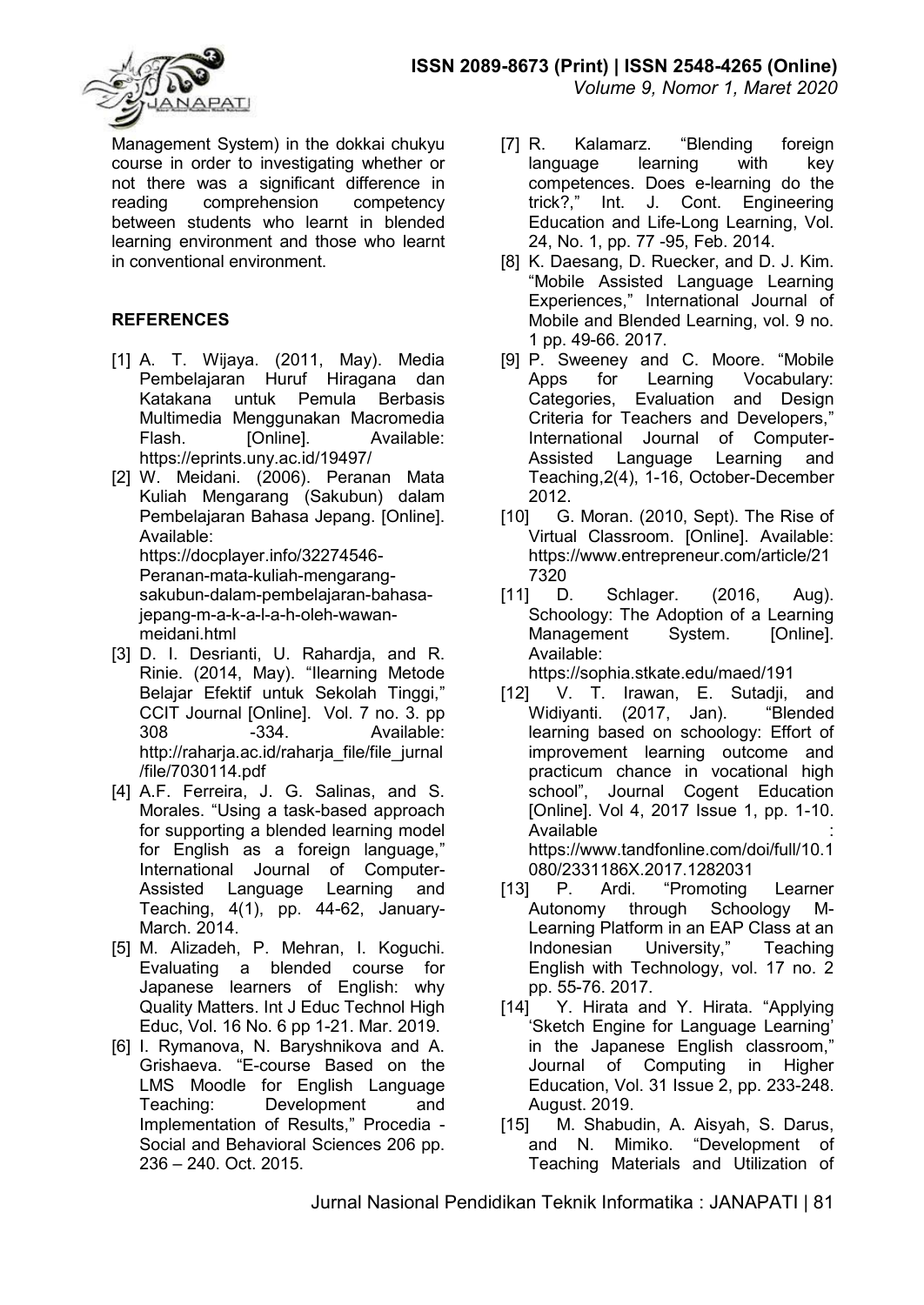

Management System) in the dokkai chukyu course in order to investigating whether or not there was a significant difference in reading comprehension competency between students who learnt in blended learning environment and those who learnt in conventional environment.

### **REFERENCES**

- [1] A. T. Wijaya. (2011, May). Media Pembelajaran Huruf Hiragana dan Katakana untuk Pemula Berbasis Multimedia Menggunakan Macromedia Flash. **[Online].** Available: https://eprints.uny.ac.id/19497/
- [2] W. Meidani. (2006). Peranan Mata Kuliah Mengarang (Sakubun) dalam Pembelajaran Bahasa Jepang. [Online]. Available: https://docplayer.info/32274546- Peranan-mata-kuliah-mengarangsakubun-dalam-pembelajaran-bahasajepang-m-a-k-a-l-a-h-oleh-wawanmeidani.html
- [3] D. I. Desrianti, U. Rahardja, and R. Rinie. (2014, May). "Ilearning Metode Belajar Efektif untuk Sekolah Tinggi," CCIT Journal [Online]. Vol. 7 no. 3. pp 308 -334. Available: http://raharja.ac.id/raharja\_file/file\_jurnal /file/7030114.pdf
- [4] A.F. Ferreira, J. G. Salinas, and S. Morales. "Using a task-based approach for supporting a blended learning model for English as a foreign language," International Journal of Computer-Assisted Language Learning and Teaching, 4(1), pp. 44-62, January-March. 2014.
- [5] M. Alizadeh, P. Mehran, I. Koguchi. Evaluating a blended course for Japanese learners of English: why Quality Matters. Int J Educ Technol High Educ, Vol. 16 No. 6 pp 1-21. Mar. 2019.
- [6] I. Rymanova, N. Baryshnikova and A. Grishaeva. "E-course Based on the LMS Moodle for English Language Teaching: Development and Implementation of Results," Procedia - Social and Behavioral Sciences 206 pp. 236 – 240. Oct. 2015.
- [7] R. Kalamarz. "Blending foreign language learning with key competences. Does e-learning do the trick?," Int. J. Cont. Engineering Education and Life-Long Learning, Vol. 24, No. 1, pp. 77 -95, Feb. 2014.
- [8] K. Daesang, D. Ruecker, and D. J. Kim. "Mobile Assisted Language Learning Experiences," International Journal of Mobile and Blended Learning, vol. 9 no. 1 pp. 49-66. 2017.
- [9] P. Sweeney and C. Moore. "Mobile Apps for Learning Vocabulary:<br>Categories, Evaluation and Design Evaluation and Design Criteria for Teachers and Developers," International Journal of Computer-Assisted Language Learning and Teaching,2(4), 1-16, October-December 2012.
- [10] G. Moran. (2010, Sept). The Rise of Virtual Classroom. [Online]. Available: https://www.entrepreneur.com/article/21 7320
- [11] D. Schlager. (2016, Aug). Schoology: The Adoption of a Learning Management System. [Online]. Available:

https://sophia.stkate.edu/maed/191

- [12] V. T. Irawan, E. Sutadji, and Widiyanti. (2017, Jan). learning based on schoology: Effort of improvement learning outcome and practicum chance in vocational high school", Journal Cogent Education [Online]. Vol 4, 2017 Issue 1, pp. 1-10. Available : https://www.tandfonline.com/doi/full/10.1 080/2331186X.2017.1282031
- [13] P. Ardi. "Promoting Learner Autonomy through Schoology M-Learning Platform in an EAP Class at an Indonesian University," Teaching English with Technology, vol. 17 no. 2 pp. 55-76. 2017.
- [14] Y. Hirata and Y. Hirata. "Applying 'Sketch Engine for Language Learning' in the Japanese English classroom," Journal of Computing in Higher Education, Vol. 31 Issue 2, pp. 233-248. August. 2019.
- [15] M. Shabudin, A. Aisyah, S. Darus, and N. Mimiko. "Development of Teaching Materials and Utilization of

Jurnal Nasional Pendidikan Teknik Informatika : JANAPATI | 81